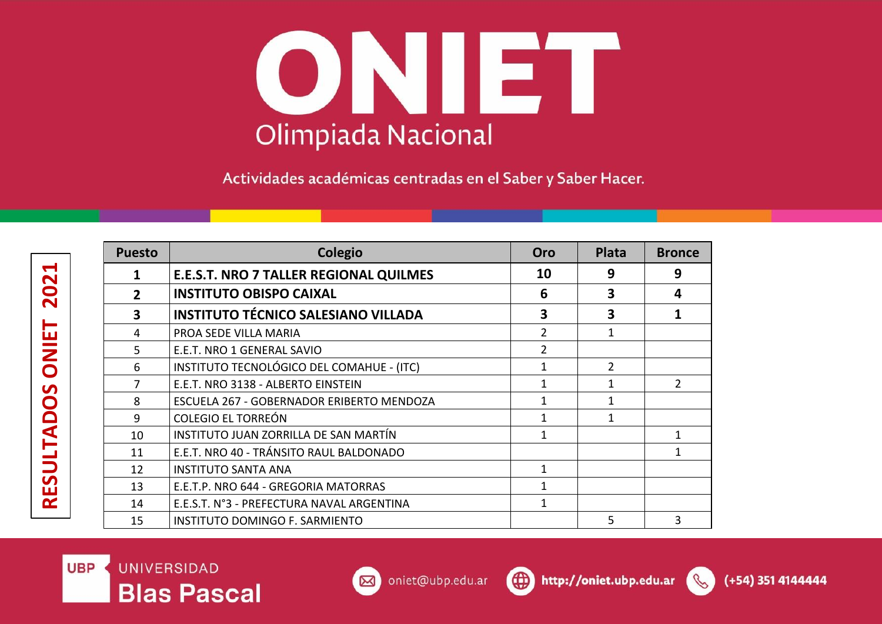

Actividades académicas centradas en el Saber y Saber Hacer.

| <b>Puesto</b>           | Colegio                                       | Oro            | <b>Plata</b>   | <b>Bronce</b> |
|-------------------------|-----------------------------------------------|----------------|----------------|---------------|
| 1                       | <b>E.E.S.T. NRO 7 TALLER REGIONAL QUILMES</b> | 10             | 9              | 9             |
| $\overline{2}$          | <b>INSTITUTO OBISPO CAIXAL</b>                | 6              | 3              | 4             |
| $\overline{\mathbf{3}}$ | <b>INSTITUTO TÉCNICO SALESIANO VILLADA</b>    | 3              | 3              | 1             |
| 4                       | PROA SEDE VILLA MARIA                         | $\overline{2}$ | $\mathbf{1}$   |               |
| 5                       | E.E.T. NRO 1 GENERAL SAVIO                    | 2              |                |               |
| 6                       | INSTITUTO TECNOLÓGICO DEL COMAHUE - (ITC)     | 1              | $\overline{2}$ |               |
| $\overline{7}$          | E.E.T. NRO 3138 - ALBERTO EINSTEIN            | 1              | 1              | $\mathcal{P}$ |
| 8                       | ESCUELA 267 - GOBERNADOR ERIBERTO MENDOZA     | 1              | 1              |               |
| 9                       | <b>COLEGIO EL TORREÓN</b>                     | 1              | $\mathbf{1}$   |               |
| 10                      | INSTITUTO JUAN ZORRILLA DE SAN MARTÍN         | 1              |                |               |
| 11                      | E.E.T. NRO 40 - TRÁNSITO RAUL BALDONADO       |                |                |               |
| 12                      | <b>INSTITUTO SANTA ANA</b>                    | $\mathbf{1}$   |                |               |
| 13                      | E.E.T.P. NRO 644 - GREGORIA MATORRAS          | 1              |                |               |
| 14                      | E.E.S.T. N°3 - PREFECTURA NAVAL ARGENTINA     | 1              |                |               |
| 15                      | INSTITUTO DOMINGO F. SARMIENTO                |                | 5              | 3             |